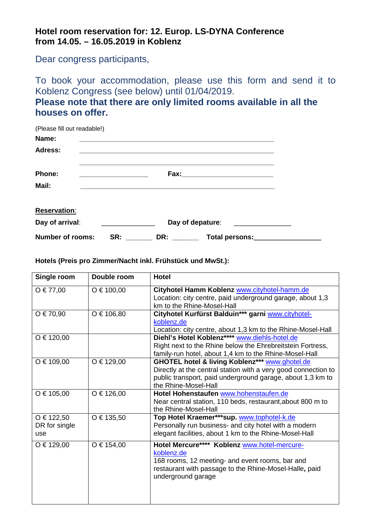## **Hotel room reservation for: 12. Europ. LS-DYNA Conference from 14.05. – 16.05.2019 in Koblenz**

Dear congress participants,

To book your accommodation, please use this form and send it to Koblenz Congress (see below) until 01/04/2019.

**Please note that there are only limited rooms available in all the houses on offer.** 

| (Please fill out readable!) |     |     |                  |  |
|-----------------------------|-----|-----|------------------|--|
| Name:                       |     |     |                  |  |
| Adress:                     |     |     |                  |  |
|                             |     |     |                  |  |
| <b>Phone:</b>               |     |     |                  |  |
| Mail:                       |     |     |                  |  |
|                             |     |     |                  |  |
| <b>Reservation:</b>         |     |     |                  |  |
| Day of arrival:             |     |     | Day of depature: |  |
| <b>Number of rooms:</b>     | SR: | DR: | Total persons:   |  |

**Hotels (Preis pro Zimmer/Nacht inkl. Frühstück und MwSt.):** 

| Single room                        | Double room    | <b>Hotel</b>                                                                                                                                                                                                      |
|------------------------------------|----------------|-------------------------------------------------------------------------------------------------------------------------------------------------------------------------------------------------------------------|
| $O \tisin 77,00$                   | $O \in 100,00$ | Cityhotel Hamm Koblenz www.cityhotel-hamm.de<br>Location: city centre, paid underground garage, about 1,3<br>km to the Rhine-Mosel-Hall                                                                           |
| $O \in 70,90$                      | O € 106,80     | Cityhotel Kurfürst Balduin*** garni www.cityhotel-<br>koblenz.de<br>Location: city centre, about 1,3 km to the Rhine-Mosel-Hall                                                                                   |
| O € 120,00                         |                | Diehl's Hotel Koblenz**** www.diehls-hotel.de<br>Right next to the Rhine below the Ehrebreitstein Fortress,<br>family-run hotel, about 1,4 km to the Rhine-Mosel-Hall                                             |
| $O \in 109,00$                     | $O \in 129,00$ | <b>GHOTEL hotel &amp; living Koblenz*** www.ghotel.de</b><br>Directly at the central station with a very good connection to<br>public transport, paid underground garage, about 1,3 km to<br>the Rhine-Mosel-Hall |
| $O \in 105,00$                     | $O \in 126,00$ | Hotel Hohenstaufen www.hohenstaufen.de<br>Near central station, 110 beds, restaurant, about 800 m to<br>the Rhine-Mosel-Hall                                                                                      |
| O € 122,50<br>DR for single<br>use | O € 135,50     | Top Hotel Kraemer***sup. www.tophotel-k.de<br>Personally run business- and city hotel with a modern<br>elegant facilities, about 1 km to the Rhine-Mosel-Hall                                                     |
| O € 129,00                         | $O \in 154,00$ | Hotel Mercure**** Koblenz www.hotel-mercure-<br>koblenz.de<br>168 rooms, 12 meeting- and event rooms, bar and<br>restaurant with passage to the Rhine-Mosel-Halle, paid<br>underground garage                     |